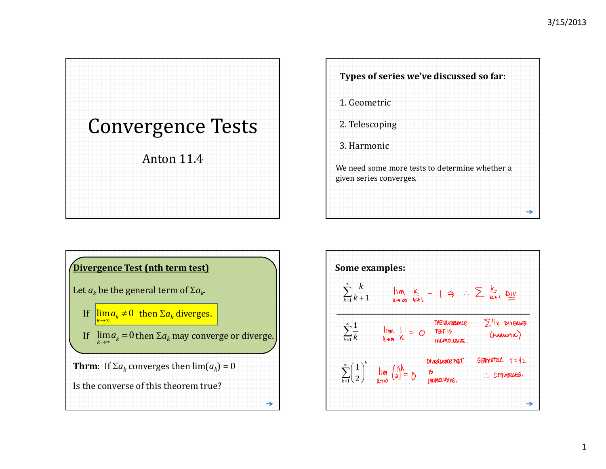





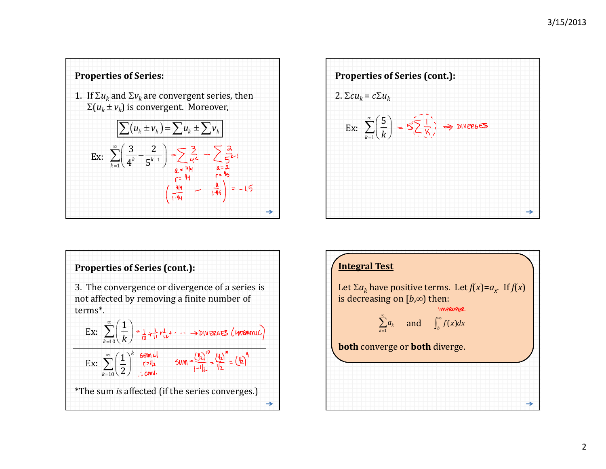





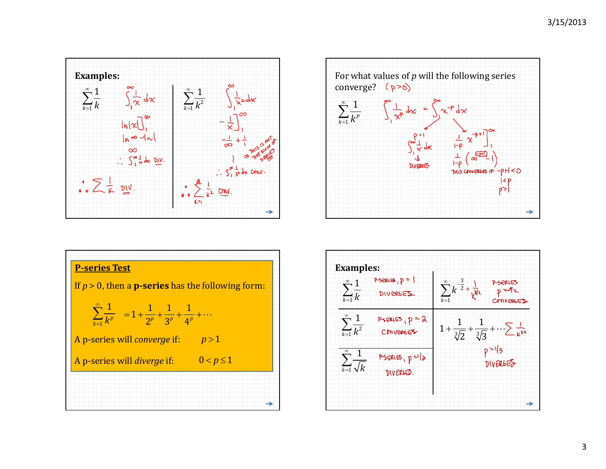